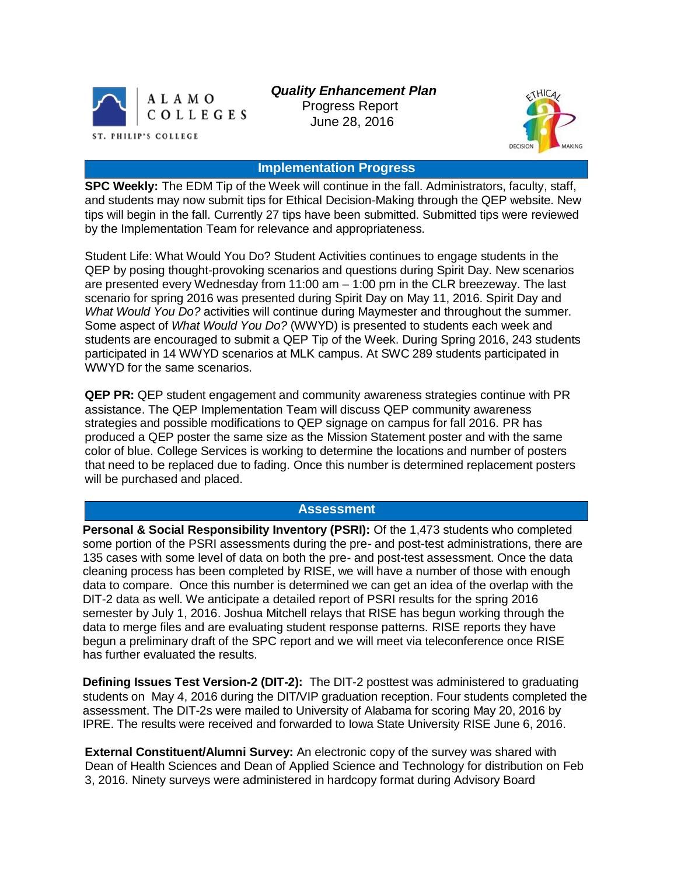

 *Quality Enhancement Plan* Progress Report

June 28, 2016



# **Implementation Progress**

**SPC Weekly:** The EDM Tip of the Week will continue in the fall. Administrators, faculty, staff, and students may now submit tips for Ethical Decision-Making through the QEP website. New tips will begin in the fall. Currently 27 tips have been submitted. Submitted tips were reviewed by the Implementation Team for relevance and appropriateness.

Student Life: What Would You Do? Student Activities continues to engage students in the QEP by posing thought-provoking scenarios and questions during Spirit Day. New scenarios are presented every Wednesday from 11:00 am – 1:00 pm in the CLR breezeway. The last scenario for spring 2016 was presented during Spirit Day on May 11, 2016. Spirit Day and *What Would You Do?* activities will continue during Maymester and throughout the summer. Some aspect of *What Would You Do?* (WWYD) is presented to students each week and students are encouraged to submit a QEP Tip of the Week. During Spring 2016, 243 students participated in 14 WWYD scenarios at MLK campus. At SWC 289 students participated in WWYD for the same scenarios.

**QEP PR:** QEP student engagement and community awareness strategies continue with PR assistance. The QEP Implementation Team will discuss QEP community awareness strategies and possible modifications to QEP signage on campus for fall 2016. PR has produced a QEP poster the same size as the Mission Statement poster and with the same color of blue. College Services is working to determine the locations and number of posters that need to be replaced due to fading. Once this number is determined replacement posters will be purchased and placed.

### **Assessment**

**Personal & Social Responsibility Inventory (PSRI):** Of the 1,473 students who completed some portion of the PSRI assessments during the pre- and post-test administrations, there are 135 cases with some level of data on both the pre- and post-test assessment. Once the data cleaning process has been completed by RISE, we will have a number of those with enough data to compare. Once this number is determined we can get an idea of the overlap with the DIT-2 data as well. We anticipate a detailed report of PSRI results for the spring 2016 semester by July 1, 2016. Joshua Mitchell relays that RISE has begun working through the data to merge files and are evaluating student response patterns. RISE reports they have begun a preliminary draft of the SPC report and we will meet via teleconference once RISE has further evaluated the results.

**Defining Issues Test Version-2 (DIT-2):** The DIT-2 posttest was administered to graduating students on May 4, 2016 during the DIT/VIP graduation reception. Four students completed the assessment. The DIT-2s were mailed to University of Alabama for scoring May 20, 2016 by IPRE. The results were received and forwarded to Iowa State University RISE June 6, 2016.

**External Constituent/Alumni Survey:** An electronic copy of the survey was shared with Dean of Health Sciences and Dean of Applied Science and Technology for distribution on Feb 3, 2016. Ninety surveys were administered in hardcopy format during Advisory Board